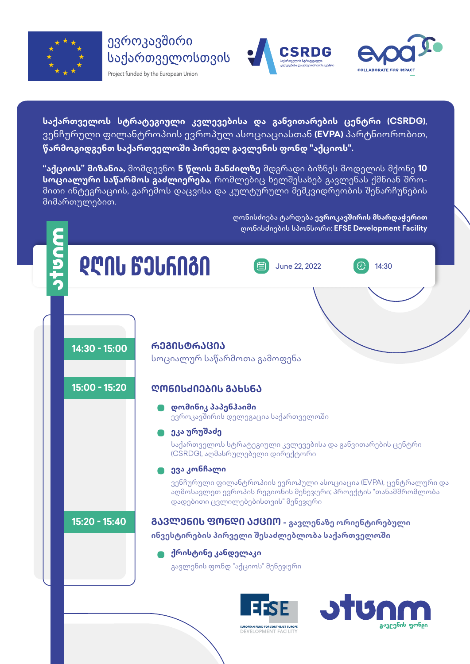







<mark>კავეენის ფონ</mark>ღი

**საქართველოს სტრატეგიული კვლევებისა და განვითარების ცენტრი (CSRDG)**, ვენჩურული ფილანტროპიის ევროპულ ასოციაციასთან **(EVPA)** პარტნიორობით, **წარმოგიდგენთ საქართველოში პირველ გავლენის ფონდ "აქციოს".**

**"აქციოს" მიზანია,** მომდევნო **5 წლის მანძილზე** მდგრადი ბიზნეს მოდელის მქონე **10 სოციალური საწარმოს გაძლიერება**, რომლებიც ხელშესახებ გავლენას ქმნიან შრომითი ინტეგრაციის, გარემოს დაცვისა და კულტურული მემკვიდრეობის შენარჩუნების მიმართულებით.

> ღონისძიება ტარდება **ევროკავშირის მხარდაჭერით**  ღონისძიების სპონსორი: **EFSE Development Facility**



EUROPEAN FUND FOR SOUTHEAST EUROPE **DEVELOPMENT FACILITY**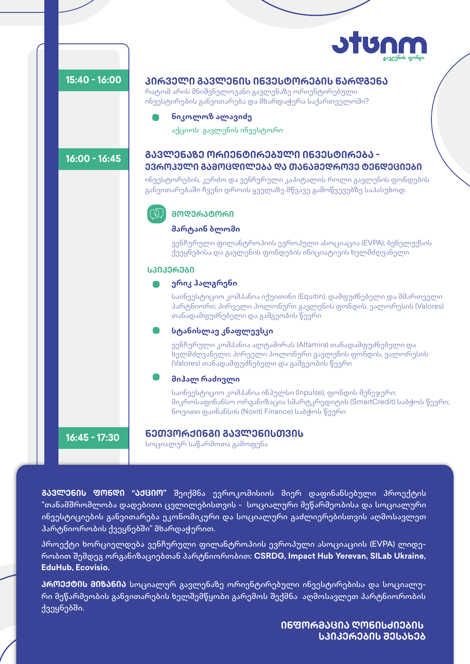



**ᲒᲐᲕᲚᲔᲜᲘᲡ ᲤᲝᲜᲓᲘ "ᲐᲥᲪᲘᲝ"** შეიქმნა ევროკომისიის მიერ დაფინანსებული პროექტის "თანამშრომლობა დადებითი ცვლილებისთვის - სოციალური მეწარმეობისა და სოციალური ინვესტიციების განვითარება ეკონომიკური და სოციალური გაძლიერებისთვის აღმოსავლეთ პარტნიორობის ქვეყნებში" მხარდაჭერით.

პროექტი ხორციელდება ვენჩურული ფილანტროპიის ევროპული ასოციაციის (EVPA) ლიდერობით შემდეგ ორგანიზაციებთან პარტნიორობით: **CSRDG, Impact Hub Yerevan, SILab Ukraine, EduHub, Ecovisio.**

**ᲞᲠᲝᲔᲥᲢᲘᲡ ᲛᲘᲖᲐᲜᲘᲐ** სოციალურ გავლენაზე ორიენტირებული ინვესტირებისა და სოციალური მეწარმეობის განვითარების ხელშემწყობი გარემოს შექმნა აღმოსავლეთ პარტნიორობის ქვეყნებში.

> **ᲘᲜᲤᲝᲠᲛᲐᲪᲘᲐ ᲦᲝᲜᲘᲡᲫᲘᲔᲑᲘᲡ ᲡᲞᲘᲙᲔᲠᲔᲑᲘᲡ ᲨᲔᲡᲐᲮᲔᲑ**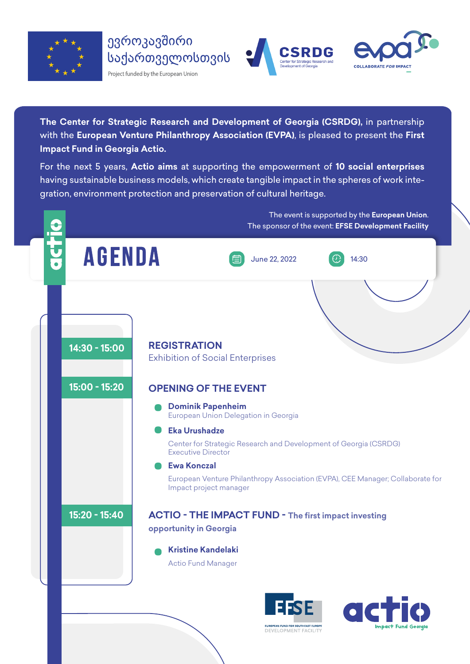





**The Center for Strategic Research and Development of Georgia (CSRDG),** in partnership with the **European Venture Philanthropy Association (EVPA)**, is pleased to present the **First Impact Fund in Georgia Actio.**

For the next 5 years, **Actio aims** at supporting the empowerment of **10 social enterprises** having sustainable business models, which create tangible impact in the spheres of work integration, environment protection and preservation of cultural heritage.



**DEVELOPMENT FACILIT**